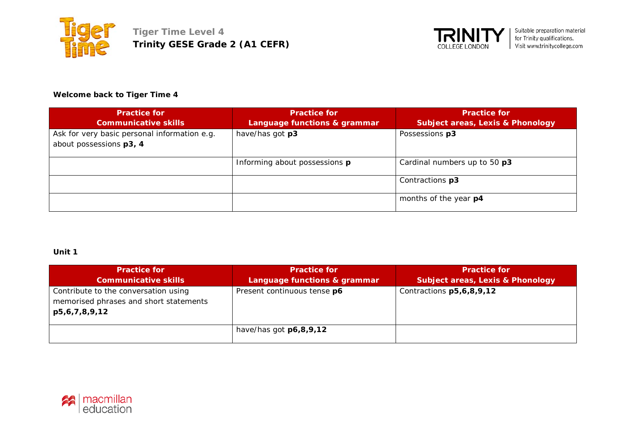



### **Welcome back to Tiger Time 4**

| <b>Practice for</b>                                                     | <b>Practice for</b>           | <b>Practice for</b>                         |
|-------------------------------------------------------------------------|-------------------------------|---------------------------------------------|
| <b>Communicative skills</b>                                             | Language functions & grammar  | <b>Subject areas, Lexis &amp; Phonology</b> |
| Ask for very basic personal information e.g.<br>about possessions p3, 4 | have/has got p3               | Possessions p3                              |
|                                                                         | Informing about possessions p | Cardinal numbers up to 50 p3                |
|                                                                         |                               | Contractions p3                             |
|                                                                         |                               | months of the year p4                       |

## **Unit 1**

| <b>Practice for</b><br><b>Communicative skills</b>                                              | <b>Practice for</b><br>Language functions & grammar | <b>Practice for</b><br><b>Subject areas, Lexis &amp; Phonology</b> |
|-------------------------------------------------------------------------------------------------|-----------------------------------------------------|--------------------------------------------------------------------|
| Contribute to the conversation using<br>memorised phrases and short statements<br>p5,6,7,8,9,12 | Present continuous tense p6                         | Contractions p5,6,8,9,12                                           |
|                                                                                                 | have/has got $p6,8,9,12$                            |                                                                    |

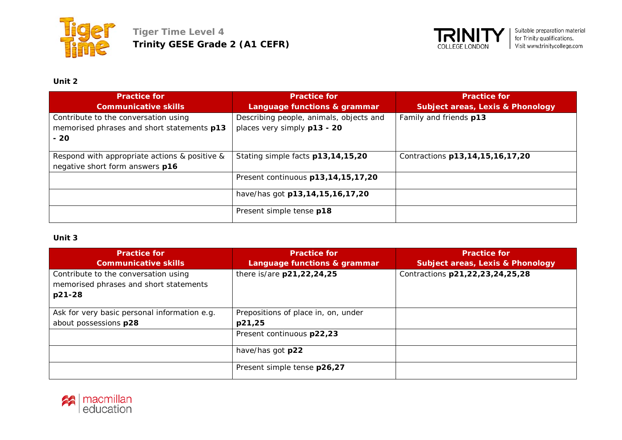



# **Unit 2**

| <b>Practice for</b><br><b>Communicative skills</b>                                          | <b>Practice for</b><br>Language functions & grammar                    | <b>Practice for</b><br><b>Subject areas, Lexis &amp; Phonology</b> |
|---------------------------------------------------------------------------------------------|------------------------------------------------------------------------|--------------------------------------------------------------------|
| Contribute to the conversation using<br>memorised phrases and short statements p13<br>$-20$ | Describing people, animals, objects and<br>places very simply p13 - 20 | Family and friends p13                                             |
| Respond with appropriate actions & positive &<br>negative short form answers p16            | Stating simple facts p13,14,15,20                                      | Contractions p13, 14, 15, 16, 17, 20                               |
|                                                                                             | Present continuous p13,14,15,17,20                                     |                                                                    |
|                                                                                             | have/has got p13,14,15,16,17,20                                        |                                                                    |
|                                                                                             | Present simple tense p18                                               |                                                                    |

#### **Unit 3**

| <b>Practice for</b>                                                                      | <b>Practice for</b>                 | <b>Practice for</b>                         |
|------------------------------------------------------------------------------------------|-------------------------------------|---------------------------------------------|
| <b>Communicative skills</b>                                                              | Language functions & grammar        | <b>Subject areas, Lexis &amp; Phonology</b> |
| Contribute to the conversation using<br>memorised phrases and short statements<br>p21-28 | there is/are p21,22,24,25           | Contractions p21,22,23,24,25,28             |
| Ask for very basic personal information e.g.                                             | Prepositions of place in, on, under |                                             |
| about possessions p28                                                                    | p21,25                              |                                             |
|                                                                                          | Present continuous p22,23           |                                             |
|                                                                                          | have/has got p22                    |                                             |
|                                                                                          | Present simple tense p26,27         |                                             |